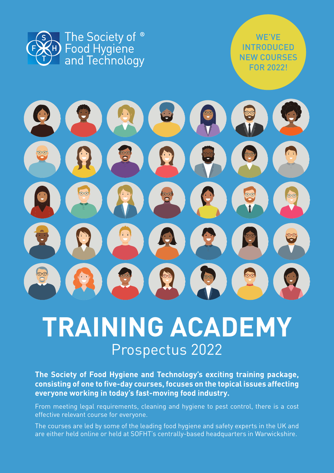

WE'VE INTRODUCED NEW COURSES FOR 2022!



# **TRAINING ACADEMY** Prospectus 2022

**The Society of Food Hygiene and Technology's exciting training package, consisting of one to five-day courses, focuses on the topical issues affecting everyone working in today's fast-moving food industry.**

From meeting legal requirements, cleaning and hygiene to pest control, there is a cost effective relevant course for everyone.

The courses are led by some of the leading food hygiene and safety experts in the UK and are either held online or held at SOFHT's centrally-based headquarters in Warwickshire.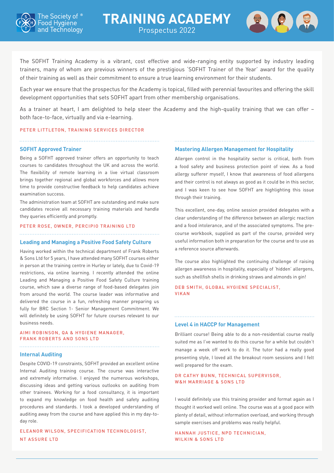



The SOFHT Training Academy is a vibrant, cost effective and wide-ranging entity supported by industry leading trainers, many of whom are previous winners of the prestigious 'SOFHT Trainer of the Year' award for the quality of their training as well as their commitment to ensure a true learning environment for their students.

Each year we ensure that the prospectus for the Academy is topical, filled with perennial favourites and offering the skill development opportunities that sets SOFHT apart from other membership organisations.

As a trainer at heart, I am delighted to help steer the Academy and the high-quality training that we can offer – both face-to-face, virtually and via e-learning.

### PETER LITTLETON, TRAINING SERVICES DIRECTOR

### **SOFHT Approved Trainer**

Being a SOFHT approved trainer offers an opportunity to teach courses to candidates throughout the UK and across the world. The flexibility of remote learning in a live virtual classroom brings together regional and global workforces and allows more time to provide constructive feedback to help candidates achieve examination success.

The administration team at SOFHT are outstanding and make sure candidates receive all necessary training materials and handle they queries efficiently and promptly.

### PETER ROSE, OWNER, PERCIPIO TRAINING LTD

### **Leading and Managing a Positive Food Safety Culture**

Having worked within the technical department of Frank Roberts & Sons Ltd for 5 years, I have attended many SOFHT courses either in person at the training centre in Hurley or lately, due to Covid-19 restrictions, via online learning. I recently attended the online Leading and Managing a Positive Food Safety Culture training course, which saw a diverse range of food-based delegates join from around the world. The course leader was informative and delivered the course in a fun, refreshing manner preparing us fully for BRC Section 1- Senior Management Commitment. We will definitely be using SOFHT for future courses relevant to our business needs.

### AIMI ROBINSON, QA & HYGIENE MANAGER, FRANK ROBERTS AND SONS LTD

### **Internal Auditing**

Despite COVID-19 constraints, SOFHT provided an excellent online Internal Auditing training course. The course was interactive and extremely informative. I enjoyed the numerous workshops, discussing ideas and getting various outlooks on auditing from other trainees. Working for a food consultancy, it is important to expand my knowledge on food health and safety auditing procedures and standards. I took a developed understanding of auditing away from the course and have applied this in my day-today role.

ELEANOR WILSON, SPECIFICATION TECHNOLOGIST, NT ASSURE LTD

### **Mastering Allergen Management for Hospitality**

Allergen control in the hospitality sector is critical, both from a food safety and business protection point of view. As a food allergy sufferer myself, I know that awareness of food allergens and their control is not always as good as it could be in this sector, and I was keen to see how SOFHT are highlighting this issue through their training.

This excellent, one-day, online session provided delegates with a clear understanding of the difference between an allergic reaction and a food intolerance, and of the associated symptoms. The precourse workbook, supplied as part of the course, provided very useful information both in preparation for the course and to use as a reference source afterwards.

The course also highlighted the continuing challenge of raising allergen awareness in hospitality, especially of 'hidden' allergens, such as shellfish shells in drinking straws and almonds in gin!

DEB SMITH, GLOBAL HYGIENE SPECIALIST, VIKAN

### **Level 4 in HACCP for Management**

Brilliant course! Being able to do a non-residential course really suited me as I've wanted to do this course for a while but couldn't manage a week off work to do it. The tutor had a really good presenting style, I loved all the breakout room sessions and I felt well prepared for the exam.

### DR CATHY BUNN, TECHNICAL SUPERVISOR, W&H MARRIAGE & SONS LTD

I would definitely use this training provider and format again as I thought it worked well online. The course was at a good pace with plenty of detail, without information overload, and working through sample exercises and problems was really helpful.

HANNAH JUSTICE, NPD TECHNICIAN, WILKIN & SONS LTD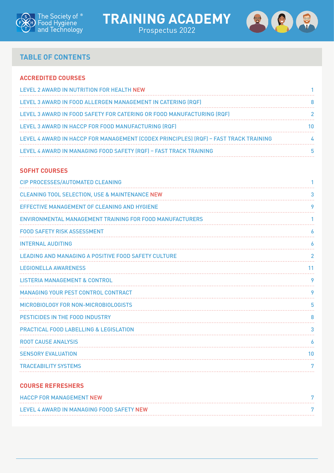





لأعتبت

### **TABLE OF CONTENTS**

## **ACCREDITED COURSES** [LEVEL 2 AWARD IN NUTRITION FOR HEALTH NEW](#page-3-0) 1 [LEVEL 3 AWARD IN FOOD ALLERGEN MANAGEMENT IN CATERING \(RQF\)](#page-10-0) 8 [LEVEL 3 AWARD IN FOOD SAFETY FOR CATERING OR FOOD MANUFACTURING \(RQF\)](#page-4-0) 2 [LEVEL 3 AWARD IN HACCP FOR FOOD MANUFACTURING \(RQF\)](#page-12-0) 10 [LEVEL 4 AWARD IN HACCP FOR MANAGEMENT \(CODEX PRINCIPLES\) \(RQF\) – FAST TRACK TRAINING](#page-6-0) 4 [LEVEL 4 AWARD IN MANAGING FOOD SAFETY \(RQF\) – FAST TRACK TRAINING](#page-7-0) 5

### **SOFHT COURSES**

| CIP PROCESSES/AUTOMATED CLEANING                           |    |
|------------------------------------------------------------|----|
| <b>CLEANING TOOL SELECTION, USE &amp; MAINTENANCE NEW</b>  | 3  |
| EFFECTIVE MANAGEMENT OF CLEANING AND HYGIENE               | 9  |
| ENVIRONMENTAL MANAGEMENT TRAINING FOR FOOD MANUFACTURERS   |    |
| <b>FOOD SAFETY RISK ASSESSMENT</b>                         | 6  |
| <b>INTERNAL AUDITING</b>                                   | 6  |
| <b>LEADING AND MANAGING A POSITIVE FOOD SAFETY CULTURE</b> | 2  |
| <b>LEGIONELLA AWARENESS</b>                                | 11 |
| <b>LISTERIA MANAGEMENT &amp; CONTROL</b>                   | 9  |
| <b>MANAGING YOUR PEST CONTROL CONTRACT</b>                 | 9  |
| MICROBIOLOGY FOR NON-MICROBIOLOGISTS                       | 5  |
| PESTICIDES IN THE FOOD INDUSTRY                            | 8  |
| <b>PRACTICAL FOOD LABELLING &amp; LEGISLATION</b>          | 3  |
| <b>ROOT CAUSE ANALYSIS</b>                                 | 6  |
| <b>SENSORY EVALUATION</b>                                  | 10 |
| <b>TRACEABILITY SYSTEMS</b>                                | 7  |
|                                                            |    |

### **COURSE REFRESHERS**

| <b>HACCP FOR MANAGEMENT NEW</b>           |  |
|-------------------------------------------|--|
| LEVEL 4 AWARD IN MANAGING FOOD SAFETY NEW |  |
|                                           |  |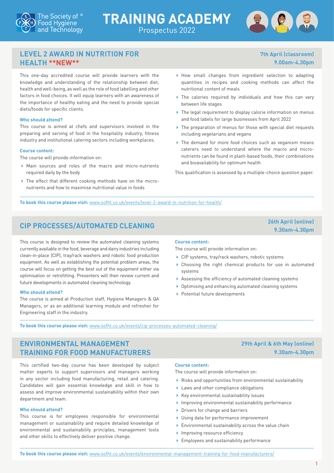



**7th April (classroom) 9.00am-4.30pm**

### <span id="page-3-0"></span>**LEVEL 2 AWARD IN NUTRITION FOR HEALTH \*\*NEW\*\***

This one-day accredited course will provide learners with the knowledge and understanding of the relationship between diet, health and well-being, as well as the role of food labelling and other factors in food choices. It will equip learners with an awareness of the importance of healthy eating and the need to provide special diets/foods for specific clients.

### **Who should attend?**

This course is aimed at chefs and supervisors involved in the preparing and serving of food in the hospitality industry, fitness industry and institutional catering sectors including workplaces.

### **Course content:**

The course will provide information on:

- Main sources and roles of the macro and micro-nutrients required daily by the body
- The effect that different cooking methods have on the micronutrients and how to maximise nutritional value in foods
- How small changes from ingredient selection to adapting quantities in recipes and cooking methods can affect the nutritional content of meals
- ▶ The calories required by individuals and how this can vary between life stages
- ▶ The legal requirement to display calorie information on menus and food labels for large businesses from April 2022
- ▶ The preparation of menus for those with special diet requests including vegetarians and vegans
- ▶ The demand for more food choices such as veganism means caterers need to understand where the macro and micronutrients can be found in plant-based foods, their combinations and bioavailability for optimum health

This qualification is assessed by a multiple-choice question paper.

**To book this course please visit:** [www.sofht.co.uk/events/level-2-award-in-nutrition-for-health/](http://www.sofht.co.uk/events/level-2-award-in-nutrition-for-health/)

## <span id="page-3-1"></span>**CIP PROCESSES/AUTOMATED CLEANING 26th April (online)**

This course is designed to review the automated cleaning systems currently available in the food, beverage and dairy industries including clean-in-place (CIP), tray/rack washers and robotic food production equipment. As well as establishing the potential problem areas, the course will focus on getting the best out of the equipment either via optimisation or retrofitting. Presenters will then review current and future developments in automated cleaning technology.

### **Who should attend?**

The course is aimed at Production staff, Hygiene Managers & QA Managers, or as an additional learning module and refresher for Engineering staff in the industry.

# **9.30am-4.30pm**

**29th April & 6th May (online)** 

**9.30am-4.30pm**

### **Course content:**

The course will provide information on:

- ▶ CIP systems, tray/rack washers, robotic systems
- Choosing the right chemical products for use in automated systems
- Assessing the efficiency of automated cleaning systems
- Optimising and enhancing automated cleaning systems
- ▶ Potential future developments

**To book this course please visit:** [www.sofht.co.uk/events/cip-processes-automated-cleaning/](http://www.sofht.co.uk/events/cip-processes-automated-cleaning/)

### <span id="page-3-2"></span>**ENVIRONMENTAL MANAGEMENT TRAINING FOR FOOD MANUFACTURERS**

This certified two-day course has been developed by subject matter experts to support supervisors and managers working in any sector including food manufacturing, retail and catering. Candidates will gain essential knowledge and skill in how to assess and improve environmental sustainability within their own department and team.

### **Who should attend?**

This course is for employees responsible for environmental management or sustainability and require detailed knowledge of environmental and sustainability principles, management tools and other skills to effectively deliver positive change.

### **Course content:**

The course will provide information on:

- Risks and opportunities from environmental sustainability
- Laws and other compliance obligations
- $\blacktriangleright$  Key environmental sustainability issues
- Improving environmental sustainability performance
- ▶ Drivers for change and barriers
- ▶ Using data for performance improvement
- Environmental sustainability across the value chain
- Improving resource efficiency
- Employees and sustainability performance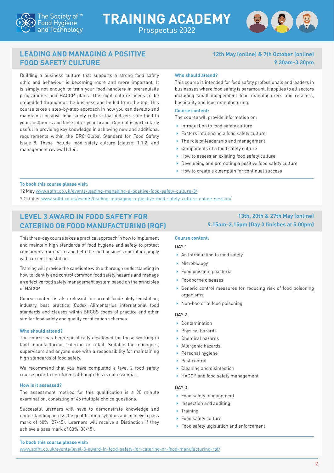



### <span id="page-4-1"></span>**LEADING AND MANAGING A POSITIVE FOOD SAFETY CULTURE**

Building a business culture that supports a strong food safety ethic and behaviour is becoming more and more important. It is simply not enough to train your food handlers in prerequisite programmes and HACCP plans. The right culture needs to be embedded throughout the business and be led from the top. This course takes a step-by-step approach in how you can develop and maintain a positive food safety culture that delivers safe food to your customers and looks after your brand. Content is particularly useful in providing key knowledge in achieving new and additional requirements within the BRC Global Standard for Food Safety Issue 8. These include food safety culture (clause: 1.1.2) and management review (1.1.4).

### **12th May (online) & 7th October (online) 9.30am-3.30pm**

### **Who should attend?**

This course is intended for food safety professionals and leaders in businesses where food safety is paramount. It applies to all sectors including small independent food manufacturers and retailers, hospitality and food manufacturing.

### **Course content:**

The course will provide information on:

- Introduction to food safety culture
- ▶ Factors influencing a food safety culture
- ▶ The role of leadership and management
- ▶ Components of a food safety culture
- $\blacktriangleright$  How to assess an existing food safety culture
- ▶ Developing and promoting a positive food safety culture
- $\blacktriangleright$  How to create a clear plan for continual success

### **To book this course please visit:**

12 May [www.sofht.co.uk/events/leading-managing-a-positive-food-safety-culture-3/](http://www.sofht.co.uk/events/leading-managing-a-positive-food-safety-culture-3/) 7 October [www.sofht.co.uk/events/leading-managing-a-positive-food-safety-culture-online-session/](http://www.sofht.co.uk/events/leading-managing-a-positive-food-safety-culture-online-session/)

### <span id="page-4-0"></span>**LEVEL 3 AWARD IN FOOD SAFETY FOR CATERING OR FOOD MANUFACTURING (RQF)**

This three-day course takes a practical approach in how to implement and maintain high standards of food hygiene and safety to protect consumers from harm and help the food business operator comply with current legislation.

Training will provide the candidate with a thorough understanding in how to identify and control common food safety hazards and manage an effective food safety management system based on the principles of HACCP.

Course content is also relevant to current food safety legislation, industry best practice, Codex Alimentarius international food standards and clauses within BRCGS codes of practice and other similar food safety and quality certification schemes.

### **Who should attend?**

The course has been specifically developed for those working in food manufacturing, catering or retail. Suitable for managers, supervisors and anyone else with a responsibility for maintaining high standards of food safety.

We recommend that you have completed a level 2 food safety course prior to enrolment although this is not essential.

### **How is it assessed?**

The assessment method for this qualification is a 90 minute examination, consisting of 45 multiple choice questions.

Successful learners will have to demonstrate knowledge and understanding across the qualification syllabus and achieve a pass mark of 60% (27/45). Learners will receive a Distinction if they achieve a pass mark of 80% (36/45).

### **13th, 20th & 27th May (online) 9.15am-3.15pm (Day 3 finishes at 5.00pm)**

### **Course content:**

### DAY 1

- An Introduction to food safety
- **Microbiology**
- ▶ Food poisoning bacteria
- ▶ Foodborne diseases
- Generic control measures for reducing risk of food poisoning organisms
- Non-bacterial food poisoning

### $\overline{DAY}$

- Contamination
- ▶ Physical hazards
- Chemical hazards
- Allergenic hazards
- **Personal hygiene**
- ▶ Pest control
- ▶ Cleaning and disinfection
- ▶ HACCP and food safety management

### DAY 3

- ▶ Food safety management
- $\blacktriangleright$  Inspection and auditing
- $\blacktriangleright$  Training
- ▶ Food safety culture
- ▶ Food safety legislation and enforcement

### **To book this course please visit:**

[www.sofht.co.uk/events/level-3-award-in-food-safety-for-catering-or-food-manufacturing-rqf/](http://www.sofht.co.uk/events/level-3-award-in-food-safety-for-catering-or-food-manufacturing-rqf/)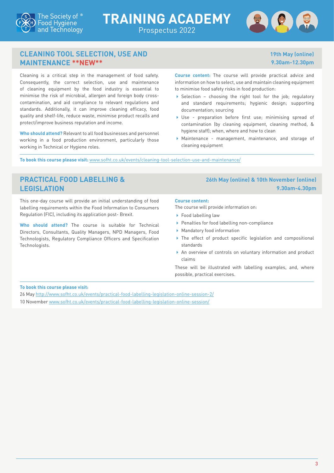



**19th May (online) 9.30am-12.30pm**

### <span id="page-5-0"></span>**CLEANING TOOL SELECTION, USE AND MAINTENANCE \*\*NEW\*\***

Cleaning is a critical step in the management of food safety. Consequently, the correct selection, use and maintenance of cleaning equipment by the food industry is essential to minimise the risk of microbial, allergen and foreign body crosscontamination, and aid compliance to relevant regulations and standards. Additionally, it can improve cleaning efficacy, food quality and shelf-life, reduce waste, minimise product recalls and protect/improve business reputation and income.

**Who should attend?** Relevant to all food businesses and personnel working in a food production environment, particularly those working in Technical or Hygiene roles.

**Course content:** The course will provide practical advice and information on how to select, use and maintain cleaning equipment to minimise food safety risks in food production:

- Selection choosing the right tool for the job; regulatory and standard requirements; hygienic design; supporting documentation; sourcing
- Use preparation before first use; minimising spread of contamination (by cleaning equipment, cleaning method, & hygiene staff); when, where and how to clean
- Maintenance management, maintenance, and storage of cleaning equipment

**To book this course please visit:** [www.sofht.co.uk/events/cleaning-tool-selection-use-and-maintenance/](http://www.sofht.co.uk/events/cleaning-tool-selection-use-and-maintenance/)

### <span id="page-5-1"></span>**PRACTICAL FOOD LABELLING & LEGISLATION**

This one-day course will provide an initial understanding of food labelling requirements within the Food Information to Consumers Regulation (FIC), including its application post- Brexit.

**Who should attend?** The course is suitable for Technical Directors, Consultants, Quality Managers, NPD Managers, Food Technologists, Regulatory Compliance Officers and Specification Technologists.

### **26th May (online) & 10th November (online) 9.30am-4.30pm**

### **Course content:**

The course will provide information on:

- ▶ Food labelling law
- ▶ Penalties for food labelling non-compliance
- Mandatory food information
- ▶ The effect of product specific legislation and compositional standards
- An overview of controls on voluntary information and product claims

These will be illustrated with labelling examples, and, where possible, practical exercises.

### **To book this course please visit:**

26 May <http://www.sofht.co.uk/events/practical-food-labelling-legislation-online-session-2/> 10 November [www.sofht.co.uk/events/practical-food-labelling-legislation-online-session/](http://www.sofht.co.uk/events/practical-food-labelling-legislation-online-session/)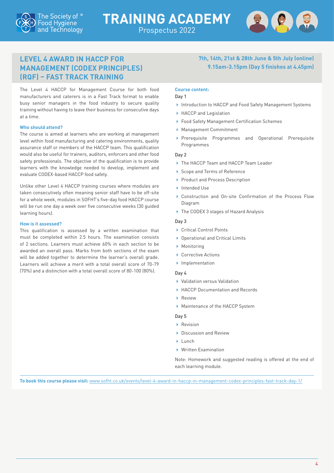### <span id="page-6-0"></span>**LEVEL 4 AWARD IN HACCP FOR MANAGEMENT (CODEX PRINCIPLES) (RQF) – FAST TRACK TRAINING**

The Level 4 HACCP for Management Course for both food manufacturers and caterers is in a Fast Track format to enable busy senior managers in the food industry to secure quality training without having to leave their business for consecutive days at a time.

### **Who should attend?**

The course is aimed at learners who are working at management level within food manufacturing and catering environments, quality assurance staff or members of the HACCP team. This qualification would also be useful for trainers, auditors, enforcers and other food safety professionals. The objective of the qualification is to provide learners with the knowledge needed to develop, implement and evaluate CODEX-based HACCP food safety.

Unlike other Level 4 HACCP training courses where modules are taken consecutively often meaning senior staff have to be off-site for a whole week, modules in SOFHT's five-day food HACCP course will be run one day a week over five consecutive weeks (30 guided learning hours).

### **How is it assessed?**

This qualification is assessed by a written examination that must be completed within 2.5 hours. The examination consists of 2 sections. Learners must achieve 60% in each section to be awarded an overall pass. Marks from both sections of the exam will be added together to determine the learner's overall grade. Learners will achieve a merit with a total overall score of 70-79 (70%) and a distinction with a total overall score of 80-100 (80%).

### **Course content:**

### Day 1

▶ Introduction to HACCP and Food Safety Management Systems

**7th, 14th, 21st & 28th June & 5th July (online) 9.15am-3.15pm (Day 5 finishes at 4.45pm)**

- ▶ HACCP and Legislation
- ▶ Food Safety Management Certification Schemes
- Management Commitment
- Prerequisite Programmes and Operational Prerequisite Programmes

### Day 2

- The HACCP Team and HACCP Team Leader
- ▶ Scope and Terms of Reference
- Product and Process Description
- Intended Use
- Construction and On-site Confirmation of the Process Flow Diagram
- ▶ The CODEX 3 stages of Hazard Analysis

### Day 3

- ▶ Critical Control Points
- ▶ Operational and Critical Limits
- **Monitoring**
- ▶ Corrective Actions
- **Implementation**

### Day 4

- Validation versus Validation
- ▶ HACCP Documentation and Records
- **Review**
- Maintenance of the HACCP System

### Day 5

- Revision
- ▶ Discussion and Review
- $\blacktriangleright$  Lunch
- Written Examination

Note: Homework and suggested reading is offered at the end of each learning module.

**To book this course please visit:** [www.sofht.co.uk/events/level-4-award-in-haccp-in-management-codex-principles-fast-track-day-1/](http://www.sofht.co.uk/events/level-4-award-in-haccp-in-management-codex-principles-fast-track-day-1/)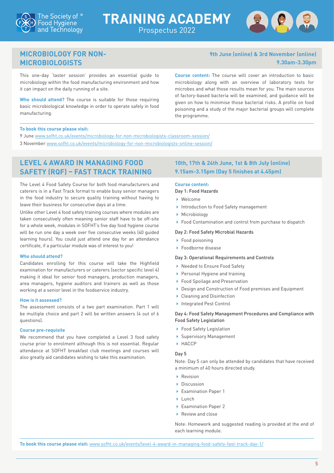



### <span id="page-7-1"></span>**MICROBIOLOGY FOR NON-MICROBIOLOGISTS**

This one-day 'taster session' provides an essential guide to microbiology within the food manufacturing environment and how it can impact on the daily running of a site.

**Who should attend?** The course is suitable for those requiring basic microbiological knowledge in order to operate safely in food manufacturing.

**9th June (online) & 3rd November (online) 9.30am-3.30pm**

**Course content:** The course will cover an introduction to basic microbiology along with an overview of laboratory tests for microbes and what those results mean for you. The main sources of factory-based bacteria will be examined, and guidance will be given on how to minimise those bacterial risks. A profile on food poisoning and a study of the major bacterial groups will complete the programme.

### **To book this course please visit:**

9 June [www.sofht.co.uk/events/microbiology-for-non-microbiologists-classroom-session/](http://www.sofht.co.uk/events/microbiology-for-non-microbiologists-classroom-session/) 3 November [www.sofht.co.uk/events/microbiology-for-non-microbiologists-online-session/](http://www.sofht.co.uk/events/microbiology-for-non-microbiologists-online-session/)

### <span id="page-7-0"></span>**LEVEL 4 AWARD IN MANAGING FOOD SAFETY (RQF) – FAST TRACK TRAINING**

The Level 4 Food Safety Course for both food manufacturers and caterers is in a Fast Track format to enable busy senior managers in the food industry to secure quality training without having to leave their business for consecutive days at a time.

Unlike other Level 4 food safety training courses where modules are taken consecutively often meaning senior staff have to be off-site for a whole week, modules in SOFHT's five day food hygiene course will be run one day a week over five consecutive weeks (40 guided learning hours). You could just attend one day for an attendance certificate, if a particular module was of interest to you!

### **Who should attend?**

Candidates enrolling for this course will take the Highfield examination for manufacturers or caterers (sector specific level 4) making it ideal for senior food managers, production managers, area managers, hygiene auditors and trainers as well as those working at a senior level in the foodservice industry.

### **How is it assessed?**

The assessment consists of a two part examination. Part 1 will be multiple choice and part 2 will be written answers (4 out of 6 questions).

### **Course pre-requisite**

We recommend that you have completed a Level 3 food safety course prior to enrolment although this is not essential. Regular attendance at SOFHT breakfast club meetings and courses will also greatly aid candidates wishing to take this examination.

### **10th, 17th & 24th June, 1st & 8th July (online) 9.15am-3.15pm (Day 5 finishes at 4.45pm)**

## **Course content:**

- Day 1: Food Hazards
- Welcome
- Introduction to Food Safety management
- **Microbiology**
- Food Contamination and control from purchase to dispatch

### Day 2: Food Safety Microbial Hazards

- ▶ Food poisoning
- ▶ Foodborne disease

### Day 3: Operational Requirements and Controls

- ▶ Needed to Ensure Food Safety
- Personal Hygiene and training
- ▶ Food Spoilage and Preservation
- ▶ Design and Construction of Food premises and Equipment
- ▶ Cleaning and Disinfection
- ▶ Integrated Pest Control

### Day 4: Food Safety Management Procedures and Compliance with Food Safety Legislation

- ▶ Food Safety Legislation
- Supervisory Management
- **HACCP**

### Day 5

Note: Day 5 can only be attended by candidates that have received a minimum of 40 hours directed study.

- ▶ Revision
- Discussion
- Examination Paper 1
- $\blacksquare$ Lunch
- ▶ Examination Paper 2
- ▶ Review and close

Note: Homework and suggested reading is provided at the end of each learning module.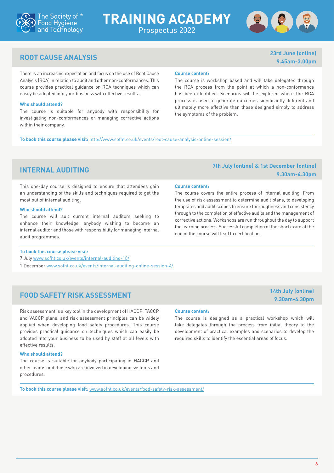



**9.45am-3.00pm**

**9.30am-4.30pm**

## <span id="page-8-2"></span>**ROOT CAUSE ANALYSIS 23rd June (online)**

There is an increasing expectation and focus on the use of Root Cause Analysis (RCA) in relation to audit and other non-conformances. This course provides practical guidance on RCA techniques which can easily be adopted into your business with effective results.

### **Who should attend?**

The course is suitable for anybody with responsibility for investigating non-conformances or managing corrective actions within their company.

### **Course content:**

The course is workshop based and will take delegates through the RCA process from the point at which a non-conformance has been identified. Scenarios will be explored where the RCA process is used to generate outcomes significantly different and ultimately more effective than those designed simply to address the symptoms of the problem.

**To book this course please visit:** <http://www.sofht.co.uk/events/root-cause-analysis-online-session/>

This one-day course is designed to ensure that attendees gain an understanding of the skills and techniques required to get the most out of internal auditing.

### **Who should attend?**

The course will suit current internal auditors seeking to enhance their knowledge, anybody wishing to become an internal auditor and those with responsibility for managing internal audit programmes.

### **To book this course please visit:**

- 7 July [www.sofht.co.uk/events/internal-auditing-18/](http://www.sofht.co.uk/events/internal-auditing-18/)
- 1 December [www.sofht.co.uk/events/internal-auditing-online-session-4/](http://www.sofht.co.uk/events/internal-auditing-online-session-4/)

## <span id="page-8-0"></span>**FOOD SAFETY RISK ASSESSMENT 14th July (online)**

Risk assessment is a key tool in the development of HACCP, TACCP and VACCP plans, and risk assessment principles can be widely applied when developing food safety procedures. This course provides practical guidance on techniques which can easily be adopted into your business to be used by staff at all levels with effective results.

### **Who should attend?**

The course is suitable for anybody participating in HACCP and other teams and those who are involved in developing systems and procedures.

## **Course content:**

The course is designed as a practical workshop which will take delegates through the process from initial theory to the development of practical examples and scenarios to develop the required skills to identify the essential areas of focus.

**To book this course please visit:** [www.sofht.co.uk/events/food-safety-risk-assessment/](http://www.sofht.co.uk/events/food-safety-risk-assessment/)

### <span id="page-8-1"></span>**INTERNAL AUDITING 7th July (online) & 1st December (online) 9.30am-4.30pm**

### **Course content:**

The course covers the entire process of internal auditing. From the use of risk assessment to determine audit plans, to developing templates and audit scopes to ensure thoroughness and consistency through to the completion of effective audits and the management of corrective actions. Workshops are run throughout the day to support the learning process. Successful completion of the short exam at the end of the course will lead to certification.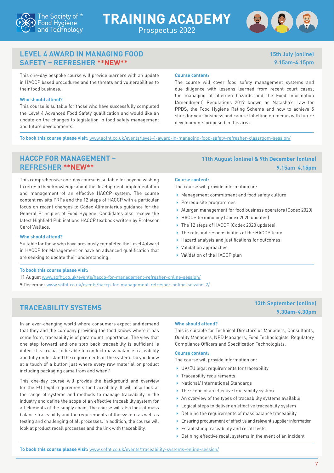





### <span id="page-9-2"></span>**LEVEL 4 AWARD IN MANAGING FOOD SAFETY – REFRESHER \*\*NEW\*\***

**15th July (online) 9.15am-4.15pm**

This one-day bespoke course will provide learners with an update in HACCP based procedures and the threats and vulnerabilities to their food business.

### **Who should attend?**

This course is suitable for those who have successfully completed the Level 4 Advanced Food Safety qualification and would like an update on the changes to legislation in food safety management and future developments.

### **Course content:**

The course will cover food safety management systems and due diligence with lessons learned from recent court cases; the managing of allergen hazards and the Food Information (Amendment) Regulations 2019 known as Natasha's Law for PPDS; the Food Hygiene Rating Scheme and how to achieve 5 stars for your business and calorie labelling on menus with future developments proposed in this area.

**To book this course please visit:** [www.sofht.co.uk/events/level-4-award-in-managing-food-safety-refresher-classroom-session/](http://www.sofht.co.uk/events/level-4-award-in-managing-food-safety-refresher-classroom-session/)

This comprehensive one-day course is suitable for anyone wishing to refresh their knowledge about the development, implementation and management of an effective HACCP system. The course content revisits PRPs and the 12 steps of HACCP with a particular focus on recent changes to Codex Alimentarius guidance for the General Principles of Food Hygiene. Candidates also receive the latest Highfield Publications HACCP textbook written by Professor Carol Wallace.

### **Who should attend?**

Suitable for those who have previously completed the Level 4 Award in HACCP for Management or have an advanced qualification that are seeking to update their understanding.

### <span id="page-9-1"></span>**HACCP FOR MANAGEMENT – 11th August (online) & 9th December (online) REFRESHER \*\*NEW\*\* 9.15am-4.15pm**

### **Course content:**

The course will provide information on:

- Management commitment and food safety culture
- $\blacktriangleright$  Prerequisite programmes
- Allergen management for food business operators (Codex 2020)
- ▶ HACCP terminology (Codex 2020 updates)
- ▶ The 12 steps of HACCP (Codex 2020 updates)
- ▶ The role and responsibilities of the HACCP team
- Hazard analysis and justifications for outcomes
- Validation approaches
- Validation of the HACCP plan

### **To book this course please visit:**

- 11 August [www.sofht.co.uk/events/haccp-for-management-refresher-online-session/](http://www.sofht.co.uk/events/haccp-for-management-refresher-online-session/)
- 9 December [www.sofht.co.uk/events/haccp-for-management-refresher-online-session-2/](http://www.sofht.co.uk/events/haccp-for-management-refresher-online-session-2/)

## <span id="page-9-0"></span>**TRACEABILITY SYSTEMS 13th September (online)**

In an ever-changing world where consumers expect and demand that they and the company providing the food knows where it has come from, traceability is of paramount importance. The view that one step forward and one step back traceability is sufficient is dated. It is crucial to be able to conduct mass balance traceability and fully understand the requirements of the system. Do you know at a touch of a button just where every raw material or product including packaging came from and when?

This one-day course will provide the background and overview for the EU legal requirements for traceability. It will also look at the range of systems and methods to manage traceability in the industry and define the scope of an effective traceability system for all elements of the supply chain. The course will also look at mass balance traceability and the requirements of the system as well as testing and challenging of all processes. In addition, the course will look at product recall processes and the link with traceability.

### **Who should attend?**

This is suitable for Technical Directors or Managers, Consultants, Quality Managers, NPD Managers, Food Technologists, Regulatory Compliance Officers and Specification Technologists.

### **Course content:**

The course will provide information on:

- UK/EU legal requirements for traceability
- $\blacktriangleright$  Traceability requirements
- National/ International Standards
- ▶ The scope of an effective traceability system
- An overview of the types of traceability systems available
- Logical steps to deliver an effective traceability system
- Defining the requirements of mass balance traceability
- Ensuring procurement of effective and relevant supplier information
- Establishing traceability and recall tests
- Defining effective recall systems in the event of an incident

**9.30am-4.30pm**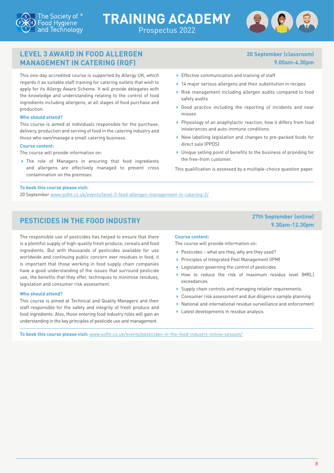

## **TRAINING ACADEMY** Prospectus 2022



### <span id="page-10-0"></span>**LEVEL 3 AWARD IN FOOD ALLERGEN MANAGEMENT IN CATERING (RQF)**

This one-day accredited course is supported by Allergy UK, which regards it as suitable staff training for catering outlets that wish to apply for its Allergy Aware Scheme. It will provide delegates with the knowledge and understanding relating to the control of food ingredients including allergens, at all stages of food purchase and production.

### **Who should attend?**

This course is aimed at individuals responsible for the purchase, delivery, production and serving of food in the catering industry and those who own/manage a small catering business.

### **Course content:**

The course will provide information on:

 The role of Managers in ensuring that food ingredients and allergens are effectively managed to prevent cross contamination on the premises

### **20 September (classroom) 9.00am-4.30pm**

**9.30am-12.30pm**

- Effective communication and training of staff
- ▶ 14 major serious allergens and their substitution in recipes
- Risk management including allergen audits compared to food safety audits
- Good practice including the reporting of incidents and near misses
- Physiology of an anaphylactic reaction, how it differs from food intolerances and auto-immune conditions
- New labelling legislation and changes to pre-packed foods for direct sale (PPDS)
- Unique selling point of benefits to the business of providing for the free-from customer.

This qualification is assessed by a multiple-choice question paper.

### **To book this course please visit:**

20 September [www.sofht.co.uk/events/level-3-food-allergen-management-in-catering-2/](http://www.sofht.co.uk/events/level-3-food-allergen-management-in-catering-2/)

## <span id="page-10-1"></span>**PESTICIDES IN THE FOOD INDUSTRY 27th September (online)**

The responsible use of pesticides has helped to ensure that there is a plentiful supply of high-quality fresh produce, cereals and food ingredients. But with thousands of pesticides available for use worldwide and continuing public concern over residues in food, it is important that those working in food supply chain companies have a good understanding of the issues that surround pesticide use, the benefits that they offer, techniques to minimise residues, legislation and consumer risk assessment.

### **Who should attend?**

This course is aimed at Technical and Quality Managers and their staff responsible for the safety and integrity of fresh produce and food ingredients. Also, those entering food industry roles will gain an understanding in the key principles of pesticide use and management.

### **Course content:**

The course will provide information on:

- $\blacktriangleright$  Pesticides what are they, why are they used?
- ▶ Principles of Integrated Pest Management (IPM)
- **Legislation governing the control of pesticides**
- How to reduce the risk of maximum residue level (MRL) exceedances
- Supply chain controls and managing retailer requirements.
- Consumer risk assessment and due diligence sample planning
- National and international residue surveillance and enforcement
- ▶ Latest developments in residue analysis

**To book this course please visit:** [www.sofht.co.uk/events/pesticides-in-the-food-industry-online-session/](http://www.sofht.co.uk/events/pesticides-in-the-food-industry-online-session/)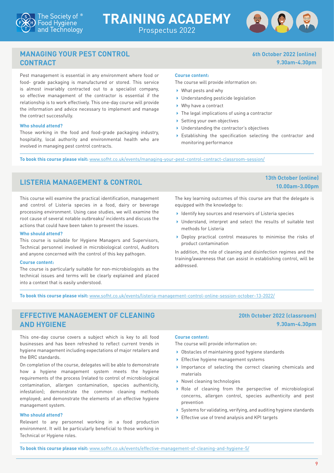

## **TRAINING ACADEMY** Prospectus 2022



**6th October 2022 (online)**

**9.30am-4.30pm**

### <span id="page-11-2"></span>**MANAGING YOUR PEST CONTROL CONTRACT**

Pest management is essential in any environment where food or food- grade packaging is manufactured or stored. This service is almost invariably contracted out to a specialist company, so effective management of the contractor is essential if the relationship is to work effectively. This one-day course will provide the information and advice necessary to implement and manage the contract successfully.

### **Who should attend?**

Those working in the food and food-grade packaging industry, hospitality, local authority and environmental health who are involved in managing pest control contracts.

### **Course content:**

The course will provide information on:

- What pests and why
- ▶ Understanding pesticide legislation
- ▶ Why have a contract
- ▶ The legal implications of using a contractor
- Setting your own objectives
- ▶ Understanding the contractor's objectives
- Establishing the specification selecting the contractor and monitoring performance

**To book this course please visit:** [www.sofht.co.uk/events/managing-your-pest-control-contract-classroom-session/](http://www.sofht.co.uk/events/managing-your-pest-control-contract-classroom-session/)

## <span id="page-11-1"></span>**LISTERIA MANAGEMENT & CONTROL 13th October (online)**

This course will examine the practical identification, management and control of Listeria species in a food, dairy or beverage processing environment. Using case studies, we will examine the root cause of several notable outbreaks/ incidents and discuss the actions that could have been taken to prevent the issues.

### **Who should attend?**

This course is suitable for Hygiene Managers and Supervisors, Technical personnel involved in microbiological control, Auditors and anyone concerned with the control of this key pathogen.

### **Course content:**

The course is particularly suitable for non-microbiologists as the technical issues and terms will be clearly explained and placed into a context that is easily understood.

**10.00am-3.00pm**

**20th October 2022 (classroom)**

**9.30am-4.30pm**

The key learning outcomes of this course are that the delegate is equipped with the knowledge to:

- I Identify key sources and reservoirs of Listeria species
- Understand, interpret and select the results of suitable test methods for Listeria
- ▶ Deploy practical control measures to minimise the risks of product contamination

In addition, the role of cleaning and disinfection regimes and the training/awareness that can assist in establishing control, will be addressed.

**To book this course please visit:** [www.sofht.co.uk/events/listeria-management-control-online-session-october-13-2022/](http://www.sofht.co.uk/events/listeria-management-control-online-session-october-13-2022/)

### <span id="page-11-0"></span>**EFFECTIVE MANAGEMENT OF CLEANING AND HYGIENE**

This one-day course covers a subject which is key to all food businesses and has been refreshed to reflect current trends in hygiene management including expectations of major retailers and the BRC standards.

On completion of the course, delegates will be able to demonstrate how a hygiene management system meets the hygiene requirements of the process (related to control of microbiological contamination, allergen contamination, species authenticity, infestation); demonstrate the common cleaning methods employed; and demonstrate the elements of an effective hygiene management system.

### **Who should attend?**

Relevant to any personnel working in a food production environment. It will be particularly beneficial to those working in Technical or Hygiene roles.

### **Course content:**

The course will provide information on:

- Obstacles of maintaining good hygiene standards
- **Effective hygiene management systems**
- Importance of selecting the correct cleaning chemicals and materials
- ▶ Novel cleaning technologies
- Role of cleaning from the perspective of microbiological concerns, allergen control, species authenticity and pest prevention
- Systems for validating, verifying, and auditing hygiene standards
- ▶ Effective use of trend analysis and KPI targets

**To book this course please visit:** [www.sofht.co.uk/events/effective-management-of-cleaning-and-hygiene-5/](http://www.sofht.co.uk/events/effective-management-of-cleaning-and-hygiene-5/)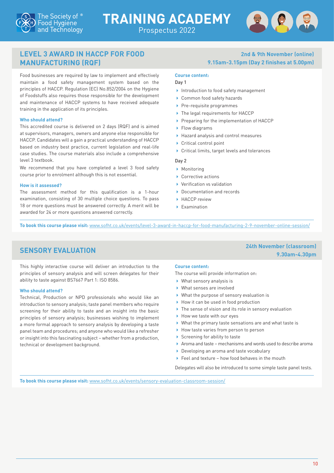



### <span id="page-12-0"></span>**LEVEL 3 AWARD IN HACCP FOR FOOD MANUFACTURING (RQF)**

Food businesses are required by law to implement and effectively maintain a food safety management system based on the principles of HACCP. Regulation (EC) No.852/2004 on the Hygiene of Foodstuffs also requires those responsible for the development and maintenance of HACCP systems to have received adequate training in the application of its principles.

### **Who should attend?**

This accredited course is delivered on 2 days (RQF) and is aimed at supervisors, managers, owners and anyone else responsible for HACCP. Candidates will a gain a practical understanding of HACCP based on industry best practice, current legislation and real-life case studies. The course materials also include a comprehensive level 3 textbook.

We recommend that you have completed a level 3 food safety course prior to enrolment although this is not essential.

### **How is it assessed?**

The assessment method for this qualification is a 1-hour examination, consisting of 30 multiple choice questions. To pass 18 or more questions must be answered correctly. A merit will be awarded for 24 or more questions answered correctly.

### **2nd & 9th November (online) 9.15am-3.15pm (Day 2 finishes at 5.00pm)**

### **Course content:**

### Day 1

- Introduction to food safety management
- ▶ Common food safety hazards
- $\blacktriangleright$  Pre-requisite programmes
- ▶ The legal requirements for HACCP
- Preparing for the implementation of HACCP
- ▶ Flow diagrams
- Hazard analysis and control measures
- ▶ Critical control point
- Critical limits, target levels and tolerances

### Day 2

- ▶ Monitoring
- ▶ Corrective actions
- Verification vs validation
- Documentation and records
- HACCP review
- Examination

**To book this course please visit:** [www.sofht.co.uk/events/level-3-award-in-haccp-for-food-manufacturing-2-9-november-online-session/](http://www.sofht.co.uk/events/level-3-award-in-haccp-for-food-manufacturing-2-9-november-online-session/)

## <span id="page-12-1"></span>**SENSORY EVALUATION 24th November (classroom)**

This highly interactive course will deliver an introduction to the principles of sensory analysis and will screen delegates for their ability to taste against BS7667 Part 1: ISO 8586.

### **Who should attend?**

Technical, Production or NPD professionals who would like an introduction to sensory analysis; taste panel members who require screening for their ability to taste and an insight into the basic principles of sensory analysis; businesses wishing to implement a more formal approach to sensory analysis by developing a taste panel team and procedures; and anyone who would like a refresher or insight into this fascinating subject – whether from a production, technical or development background.

### **Course content:**

The course will provide information on:

- What sensory analysis is
- What senses are involved
- What the purpose of sensory evaluation is
- How it can be used in food production
- ▶ The sense of vision and its role in sensory evaluation
- ▶ How we taste with our eyes
- What the primary taste sensations are and what taste is
- ▶ How taste varies from person to person
- $\triangleright$  Screening for ability to taste
- Aroma and taste mechanisms and words used to describe aroma
- Developing an aroma and taste vocabulary
- ▶ Feel and texture how food behaves in the mouth

Delegates will also be introduced to some simple taste panel tests.

**To book this course please visit:** [www.sofht.co.uk/events/sensory-evaluation-classroom-session/](http://www.sofht.co.uk/events/sensory-evaluation-classroom-session/)

**9.30am-4.30pm**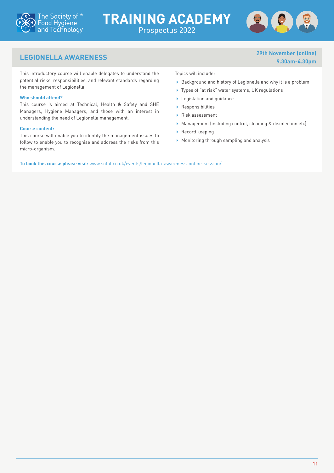



**9.30am-4.30pm**

## <span id="page-13-0"></span>**LEGIONELLA AWARENESS 29th November (online)**

This introductory course will enable delegates to understand the potential risks, responsibilities, and relevant standards regarding the management of Legionella.

### **Who should attend?**

This course is aimed at Technical, Health & Safety and SHE Managers, Hygiene Managers, and those with an interest in understanding the need of Legionella management.

### **Course content:**

This course will enable you to identify the management issues to follow to enable you to recognise and address the risks from this micro-organism.

Topics will include:

Prospectus 2022

- Background and history of Legionella and why it is a problem
- ▶ Types of "at risk" water systems, UK regulations
- ▶ Legislation and guidance
- Responsibilities
- Risk assessment
- Management (including control, cleaning & disinfection etc)
- Record keeping
- Monitoring through sampling and analysis

**To book this course please visit:** [www.sofht.co.uk/events/legionella-awareness-online-session/](http://www.sofht.co.uk/events/legionella-awareness-online-session/)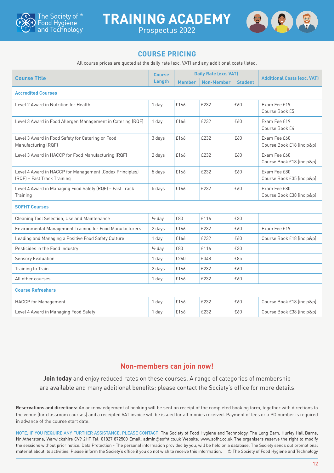

**TRAINING ACADEMY** Prospectus 2022



### **COURSE PRICING**

All course prices are quoted at the daily rate (exc. VAT) and any additional costs listed.

| <b>Course Title</b>                                                                     |                   | <b>Daily Rate (exc. VAT)</b> |                   |                | <b>Additional Costs (exc. VAT)</b>        |  |  |
|-----------------------------------------------------------------------------------------|-------------------|------------------------------|-------------------|----------------|-------------------------------------------|--|--|
|                                                                                         | Lenath            | <b>Member</b>                | <b>Non-Member</b> | <b>Student</b> |                                           |  |  |
| <b>Accredited Courses</b>                                                               |                   |                              |                   |                |                                           |  |  |
| Level 2 Award in Nutrition for Health                                                   | 1 day             | £166                         | £232              | £60            | Exam Fee £19<br>Course Book £5            |  |  |
| Level 3 Award in Food Allergen Management in Catering (RQF)                             | 1 day             | £166                         | £232              | £60            | Exam Fee £19<br>Course Book £4            |  |  |
| Level 3 Award in Food Safety for Catering or Food<br>Manufacturing (RQF)                | 3 days            | £166                         | £232              | £60            | Exam Fee £60<br>Course Book £18 (inc p&p) |  |  |
| Level 3 Award in HACCP for Food Manufacturing (RQF)                                     | 2 days            | £166                         | £232              | £60            | Exam Fee £60<br>Course Book £18 (inc p&p) |  |  |
| Level 4 Award in HACCP for Management (Codex Principles)<br>(RQF) - Fast Track Training | 5 days            | £166                         | £232              | £60            | Exam Fee £80<br>Course Book £35 (inc p&p) |  |  |
| Level 4 Award in Managing Food Safety (RQF) - Fast Track<br>Training                    | 5 days            | £166                         | £232              | £60            | Exam Fee £80<br>Course Book £38 (inc p&p) |  |  |
| <b>SOFHT Courses</b>                                                                    |                   |                              |                   |                |                                           |  |  |
| Cleaning Tool Selection, Use and Maintenance                                            | $\frac{1}{2}$ day | £83                          | £116              | £30            |                                           |  |  |
| Environmental Management Training for Food Manufacturers                                | 2 days            | £166                         | £232              | £60            | Exam Fee £19                              |  |  |
| Leading and Managing a Positive Food Safety Culture                                     | 1 day             | £166                         | £232              | £60            | Course Book £18 (inc p&p)                 |  |  |
| Pesticides in the Food Industry                                                         | $\frac{1}{2}$ day | £83                          | £116              | £30            |                                           |  |  |
| <b>Sensory Evaluation</b>                                                               | 1 day             | £260                         | £348              | £85            |                                           |  |  |
| Training to Train                                                                       | 2 days            | £166                         | £232              | £60            |                                           |  |  |
| All other courses                                                                       | 1 day             | £166                         | £232              | £60            |                                           |  |  |
| <b>Course Refreshers</b>                                                                |                   |                              |                   |                |                                           |  |  |
| <b>HACCP</b> for Management                                                             | 1 day             | £166                         | £232              | £60            | Course Book £18 (inc p&p)                 |  |  |
| Level 4 Award in Managing Food Safety                                                   | 1 day             | £166                         | £232              | £60            | Course Book £38 (inc p&p)                 |  |  |

### **Non-members can join now!**

**Join today** and enjoy reduced rates on these courses. A range of categories of membership are available and many additional benefits; please contact the Society's office for more details.

**Reservations and directions:** An acknowledgement of booking will be sent on receipt of the completed booking form, together with directions to the venue (for classroom courses) and a receipted VAT invoice will be issued for all monies received. Payment of fees or a PO number is required in advance of the course start date.

NOTE; IF YOU REQUIRE ANY FURTHER ASSISTANCE, PLEASE CONTACT: The Society of Food Hygiene and Technology, The Long Barn, Hurley Hall Barns, Nr Atherstone, Warwickshire CV9 2HT Tel: 01827 872500 Email: [admin@sofht.co.uk](mailto:admin%40sofht.co.uk?subject=) Website: [www.sofht.co.uk](http://www.sofht.co.uk) The organisers reserve the right to modify the sessions without prior notice. Data Protection - The personal information provided by you, will be held on a database. The Society sends out promotional material about its activities. Please inform the Society's office if you do not wish to receive this information. © The Society of Food Hygiene and Technology